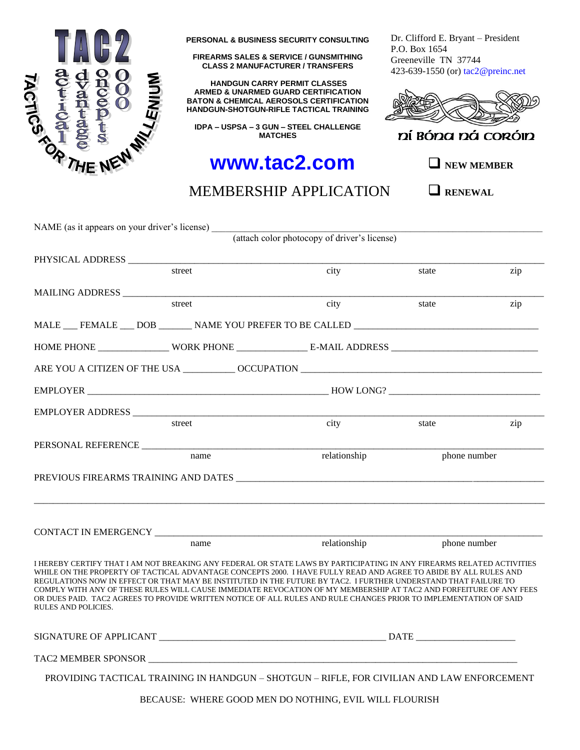

**PERSONAL & BUSINESS SECURITY CONSULTING**

**FIREARMS SALES & SERVICE / GUNSMITHING CLASS 2 MANUFACTURER / TRANSFERS**

**HANDGUN CARRY PERMIT CLASSES ARMED & UNARMED GUARD CERTIFICATION BATON & CHEMICAL AEROSOLS CERTIFICATION HANDGUN-SHOTGUN-RIFLE TACTICAL TRAINING**

**IDPA – USPSA – 3 GUN – STEEL CHALLENGE MATCHES**

# **www.tac2.com**

Dr. Clifford E. Bryant – President P.O. Box 1654 Greeneville TN 37744 423-639-1550 (or) tac2@preinc.net



ní Bóna ná coróin

❑ **NEW MEMBER**

# MEMBERSHIP APPLICATION

❑ **RENEWAL**

| NAME (as it appears on your driver's license) |        |                                                                                                                                                                                                                                                                                                                                                                                                                                                                                                                                                                                                         |              |     |  |
|-----------------------------------------------|--------|---------------------------------------------------------------------------------------------------------------------------------------------------------------------------------------------------------------------------------------------------------------------------------------------------------------------------------------------------------------------------------------------------------------------------------------------------------------------------------------------------------------------------------------------------------------------------------------------------------|--------------|-----|--|
|                                               |        | (attach color photocopy of driver's license)                                                                                                                                                                                                                                                                                                                                                                                                                                                                                                                                                            |              |     |  |
|                                               |        |                                                                                                                                                                                                                                                                                                                                                                                                                                                                                                                                                                                                         |              |     |  |
|                                               | street | city                                                                                                                                                                                                                                                                                                                                                                                                                                                                                                                                                                                                    | state        | zip |  |
| MAILING ADDRESS                               |        |                                                                                                                                                                                                                                                                                                                                                                                                                                                                                                                                                                                                         |              |     |  |
|                                               | street | city                                                                                                                                                                                                                                                                                                                                                                                                                                                                                                                                                                                                    | state        | zip |  |
|                                               |        | MALE FEMALE DOB NAME YOU PREFER TO BE CALLED                                                                                                                                                                                                                                                                                                                                                                                                                                                                                                                                                            |              |     |  |
|                                               |        |                                                                                                                                                                                                                                                                                                                                                                                                                                                                                                                                                                                                         |              |     |  |
|                                               |        |                                                                                                                                                                                                                                                                                                                                                                                                                                                                                                                                                                                                         |              |     |  |
|                                               |        |                                                                                                                                                                                                                                                                                                                                                                                                                                                                                                                                                                                                         |              |     |  |
|                                               |        |                                                                                                                                                                                                                                                                                                                                                                                                                                                                                                                                                                                                         |              |     |  |
|                                               | street | city                                                                                                                                                                                                                                                                                                                                                                                                                                                                                                                                                                                                    | state        | zip |  |
| PERSONAL REFERENCE                            |        |                                                                                                                                                                                                                                                                                                                                                                                                                                                                                                                                                                                                         |              |     |  |
|                                               | name   | relationship                                                                                                                                                                                                                                                                                                                                                                                                                                                                                                                                                                                            | phone number |     |  |
|                                               |        |                                                                                                                                                                                                                                                                                                                                                                                                                                                                                                                                                                                                         |              |     |  |
| CONTACT IN EMERGENCY NEWSLETTEN               |        |                                                                                                                                                                                                                                                                                                                                                                                                                                                                                                                                                                                                         |              |     |  |
|                                               | name   | relationship                                                                                                                                                                                                                                                                                                                                                                                                                                                                                                                                                                                            | phone number |     |  |
| <b>RULES AND POLICIES.</b>                    |        | I HEREBY CERTIFY THAT I AM NOT BREAKING ANY FEDERAL OR STATE LAWS BY PARTICIPATING IN ANY FIREARMS RELATED ACTIVITIES<br>WHILE ON THE PROPERTY OF TACTICAL ADVANTAGE CONCEPTS 2000. I HAVE FULLY READ AND AGREE TO ABIDE BY ALL RULES AND<br>REGULATIONS NOW IN EFFECT OR THAT MAY BE INSTITUTED IN THE FUTURE BY TAC2. I FURTHER UNDERSTAND THAT FAILURE TO<br>COMPLY WITH ANY OF THESE RULES WILL CAUSE IMMEDIATE REVOCATION OF MY MEMBERSHIP AT TAC2 AND FORFEITURE OF ANY FEES<br>OR DUES PAID. TAC2 AGREES TO PROVIDE WRITTEN NOTICE OF ALL RULES AND RULE CHANGES PRIOR TO IMPLEMENTATION OF SAID |              |     |  |
|                                               |        |                                                                                                                                                                                                                                                                                                                                                                                                                                                                                                                                                                                                         |              |     |  |
|                                               |        |                                                                                                                                                                                                                                                                                                                                                                                                                                                                                                                                                                                                         |              |     |  |
|                                               |        | PROVIDING TACTICAL TRAINING IN HANDGUN - SHOTGUN - RIFLE, FOR CIVILIAN AND LAW ENFORCEMENT                                                                                                                                                                                                                                                                                                                                                                                                                                                                                                              |              |     |  |

BECAUSE: WHERE GOOD MEN DO NOTHING, EVIL WILL FLOURISH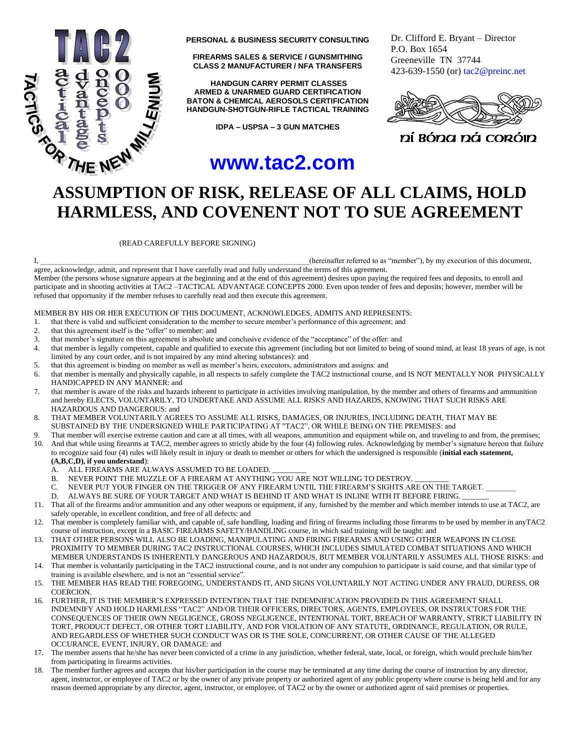

**PERSONAL & BUSINESS SECURITY CONSULTING**

**FIREARMS SALES & SERVICE / GUNSMITHING CLASS 2 MANUFACTURER / NFA TRANSFERS**

**HANDGUN CARRY PERMIT CLASSES ARMED & UNARMED GUARD CERTIFICATION BATON & CHEMICAL AEROSOLS CERTIFICATION HANDGUN-SHOTGUN-RIFLE TACTICAL TRAINING**

**IDPA – USPSA – 3 GUN MATCHES**

# **www.tac2.com**

Dr. Clifford E. Bryant – Director P.O. Box 1654 Greeneville TN 37744 423-639-1550 (or) tac2@preinc.net



ní Bóna ná coróin

# **ASSUMPTION OF RISK, RELEASE OF ALL CLAIMS, HOLD HARMLESS, AND COVENENT NOT TO SUE AGREEMENT**

(READ CAREFULLY BEFORE SIGNING)

refused that opportunity if the member refuses to carefully read and then execute this agreement.

I, thereinafter referred to as "member"), by my execution of this document,

agree, acknowledge, admit, and represent that I have carefully read and fully understand the terms of this agreement. Member (the persons whose signature appears at the beginning and at the end of this agreement) desires upon paying the required fees and deposits, to enroll and participate and in shooting activities at TAC2 –TACTICAL ADVANTAGE CONCEPTS 2000. Even upon tender of fees and deposits; however, member will be

MEMBER BY HIS OR HER EXECUTION OF THIS DOCUMENT, ACKNOWLEDGES, ADMITS AND REPRESENTS:

- 1. that there is valid and sufficient consideration to the member to secure member's performance of this agreement; and
- 2. that this agreement itself is the "offer" to member: and
- 3. that member's signature on this agreement is absolute and conclusive evidence of the "acceptance" of the offer: and
- 4. that member is legally competent, capable and qualified to execute this agreement (including but not limited to being of sound mind, at least 18 years of age, is not limited by any court order, and is not impaired by any mind altering substances): and
- 5. that this agreement is binding on member as well as member's heirs, executors, administrators and assigns: and
- 6. that member is mentally and physically capable, in all respects to safely complete the TAC2 instructional course, and IS NOT MENTALLY NOR PHYSICALLY HANDICAPPED IN ANY MANNER: and
- 7. that member is aware of the risks and hazards inherent to participate in activities involving manipulation, by the member and others of firearms and ammunition and hereby ELECTS, VOLUNTARILY, TO UNDERTAKE AND ASSUME ALL RISKS AND HAZARDS, KNOWING THAT SUCH RISKS ARE HAZARDOUS AND DANGEROUS: and
- 8. THAT MEMBER VOLUNTARILY AGREES TO ASSUME ALL RISKS, DAMAGES, OR INJURIES, INCLUDING DEATH, THAT MAY BE SUBSTAINED BY THE UNDERSIGNED WHILE PARTICIPATING AT "TAC2", OR WHILE BEING ON THE PREMISES: and
- 9. That member will exercise extreme caution and care at all times, with all weapons, ammunition and equipment while on, and traveling to and from, the premises; 10. And that while using firearms at TAC2, member agrees to strictly abide by the four (4) following rules. Acknowledging by member's signature hereon that failure to recognize said four (4) rules will likely result in injury or death to member or others for which the undersigned is responsible (**initial each statement, (A,B,C,D), if you understand**):
	- A. ALL FIREARMS ARE ALWAYS ASSUMED TO BE LOADED.
	- B. NEVER POINT THE MUZZLE OF A FIREARM AT ANYTHING YOU ARE NOT WILLING TO DESTROY.
	- C. NEVER PUT YOUR FINGER ON THE TRIGGER OF ANY FIREARM UNTIL THE FIREARM'S SIGHTS ARE ON THE TARGET.
	-
- D. ALWAYS BE SURE OF YOUR TARGET AND WHAT IS BEHIND IT AND WHAT IS INLINE WITH IT BEFORE FIRING. That all of the firearms and/or ammunition and any other weapons or equipment, if any, furnished by the member and which member intends to use at TAC2, are safely operable, in excellent condition, and free of all defects: and
- 12. That member is completely familiar with, and capable of, safe handling, loading and firing of firearms including those firearms to be used by member in anyTAC2 course of instruction, except in a BASIC FIREARMS SAFETY/HANDLING course, in which said training will be taught: and
- 13. THAT OTHER PERSONS WILL ALSO BE LOADING, MANIPULATING AND FIRING FIREARMS AND USING OTHER WEAPONS IN CLOSE PROXIMITY TO MEMBER DURING TAC2 INSTRUCTIONAL COURSES, WHICH INCLUDES SIMULATED COMBAT SITUATIONS AND WHICH MEMBER UNDERSTANDS IS INHERENTLY DANGEROUS AND HAZARDOUS, BUT MEMBER VOLUNTARILY ASSUMES ALL THOSE RISKS: and
- 14. That member is voluntarily participating in the TAC2 instructional course, and is not under any compulsion to participate is said course, and that similar type of training is available elsewhere, and is not an "essential service".
- 15. THE MEMBER HAS READ THE FOREGOING, UNDERSTANDS IT, AND SIGNS VOLUNTARILY NOT ACTING UNDER ANY FRAUD, DURESS, OR **COERCION**
- 16. FURTHER, IT IS THE MEMBER'S EXPRESSED INTENTION THAT THE INDEMNIFICATION PROVIDED IN THIS AGREEMENT SHALL INDEMNIFY AND HOLD HARMLESS "TAC2" AND/OR THEIR OFFICERS, DIRECTORS, AGENTS, EMPLOYEES, OR INSTRUCTORS FOR THE CONSEQUENCES OF THEIR OWN NEGLIGENCE, GROSS NEGLIGENCE, INTENTIONAL TORT, BREACH OF WARRANTY, STRICT LIABILITY IN TORT, PRODUCT DEFECT, OR OTHER TORT LIABILITY, AND FOR VIOLATION OF ANY STATUTE, ORDINANCE, REGULATION, OR RULE, AND REGARDLESS OF WHETHER SUCH CONDUCT WAS OR IS THE SOLE, CONCURRENT, OR OTHER CAUSE OF THE ALLEGED OCCURANCE, EVENT, INJURY, OR DAMAGE: and
- 17. The member asserts that he/she has never been convicted of a crime in any jurisdiction, whether federal, state, local, or foreign, which would preclude him/her from participating in firearms activities.
- 18. The member further agrees and accepts that his/her participation in the course may be terminated at any time during the course of instruction by any director, agent, instructor, or employee of TAC2 or by the owner of any private property or authorized agent of any public property where course is being held and for any reason deemed appropriate by any director, agent, instructor, or employee, of TAC2 or by the owner or authorized agent of said premises or properties.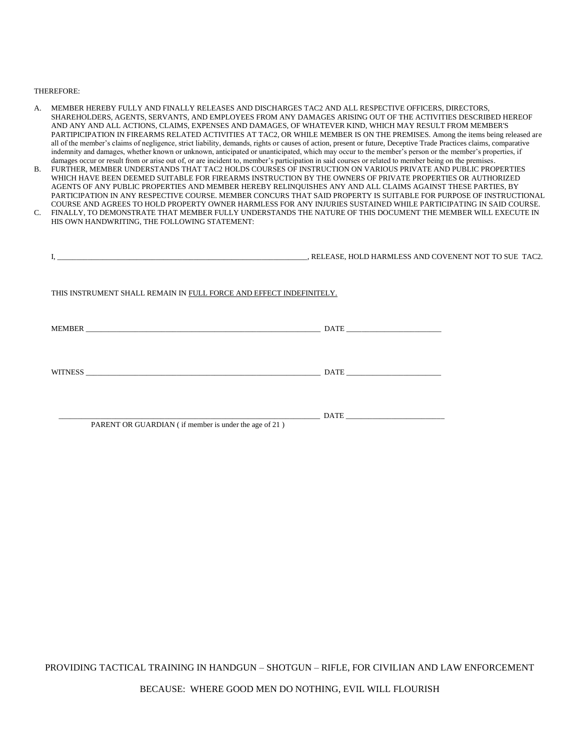#### THEREFORE:

- A. MEMBER HEREBY FULLY AND FINALLY RELEASES AND DISCHARGES TAC2 AND ALL RESPECTIVE OFFICERS, DIRECTORS, SHAREHOLDERS, AGENTS, SERVANTS, AND EMPLOYEES FROM ANY DAMAGES ARISING OUT OF THE ACTIVITIES DESCRIBED HEREOF AND ANY AND ALL ACTIONS, CLAIMS, EXPENSES AND DAMAGES, OF WHATEVER KIND, WHICH MAY RESULT FROM MEMBER'S PARTIPICIPATION IN FIREARMS RELATED ACTIVITIES AT TAC2, OR WHILE MEMBER IS ON THE PREMISES. Among the items being released are all of the member's claims of negligence, strict liability, demands, rights or causes of action, present or future, Deceptive Trade Practices claims, comparative indemnity and damages, whether known or unknown, anticipated or unanticipated, which may occur to the member's person or the member's properties, if damages occur or result from or arise out of, or are incident to, member's participation in said courses or related to member being on the premises.
- B. FURTHER, MEMBER UNDERSTANDS THAT TAC2 HOLDS COURSES OF INSTRUCTION ON VARIOUS PRIVATE AND PUBLIC PROPERTIES WHICH HAVE BEEN DEEMED SUITABLE FOR FIREARMS INSTRUCTION BY THE OWNERS OF PRIVATE PROPERTIES OR AUTHORIZED AGENTS OF ANY PUBLIC PROPERTIES AND MEMBER HEREBY RELINQUISHES ANY AND ALL CLAIMS AGAINST THESE PARTIES, BY PARTICIPATION IN ANY RESPECTIVE COURSE. MEMBER CONCURS THAT SAID PROPERTY IS SUITABLE FOR PURPOSE OF INSTRUCTIONAL COURSE AND AGREES TO HOLD PROPERTY OWNER HARMLESS FOR ANY INJURIES SUSTAINED WHILE PARTICIPATING IN SAID COURSE.
- C. FINALLY, TO DEMONSTRATE THAT MEMBER FULLY UNDERSTANDS THE NATURE OF THIS DOCUMENT THE MEMBER WILL EXECUTE IN HIS OWN HANDWRITING, THE FOLLOWING STATEMENT:

|                                                                                                                                                                                                                                | , RELEASE, HOLD HARMLESS AND COVENENT NOT TO SUE TAC2. |
|--------------------------------------------------------------------------------------------------------------------------------------------------------------------------------------------------------------------------------|--------------------------------------------------------|
| THIS INSTRUMENT SHALL REMAIN IN FULL FORCE AND EFFECT INDEFINITELY.                                                                                                                                                            |                                                        |
|                                                                                                                                                                                                                                |                                                        |
| WITNESS FOR THE RESIDENCE OF A STRIKE STATE OF A STRIKE STATE OF A STRIKE STATE OF A STRIKE STATE OF A STRIKE OF A STRIKE OF A STRIKE OF A STRIKE OF A STRIKE OF A STRIKE OF A STRIKE OF A STRIKE OF A STRIKE OF A STRIKE OF A | $\text{DATE}$                                          |
| PARENT OR GUARDIAN (if member is under the age of 21)                                                                                                                                                                          |                                                        |

PROVIDING TACTICAL TRAINING IN HANDGUN – SHOTGUN – RIFLE, FOR CIVILIAN AND LAW ENFORCEMENT

BECAUSE: WHERE GOOD MEN DO NOTHING, EVIL WILL FLOURISH